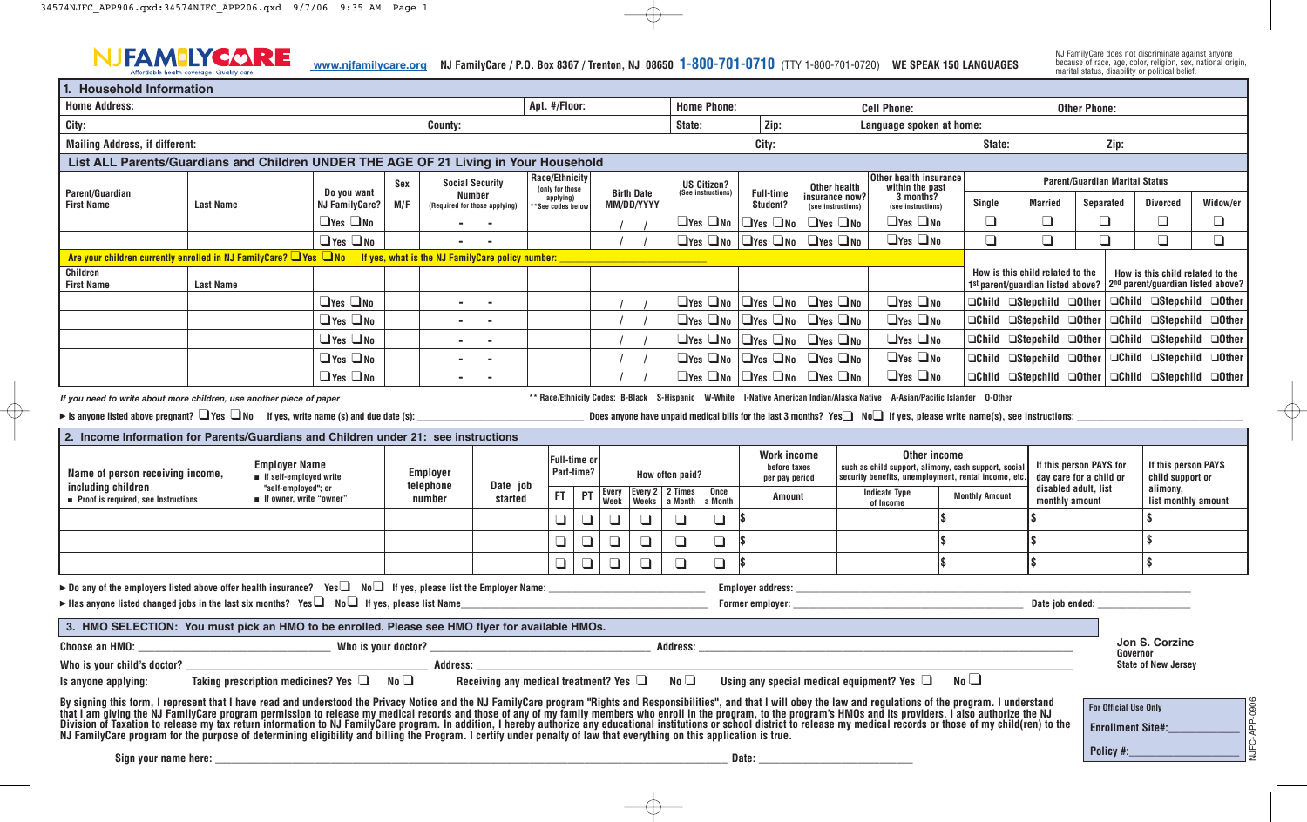

NJ FamilyCare does not discriminate against anyone because of race, age, color, religion, sex, national origin, marital status, disability or political belief.

| <b>Household Information</b>                                                                                                                                                                                                                                                                                                                                                                                                                                                                                                                                                                                                                                                           |                                                                                                                                                                                                        |                                                  |                                           |             |                                                                          |                                                                                                                                                                                                                                |                                                |                                   |                                 |        |                                   |                                                                         |                                              |                                            |                                                                                                                                                                                                                                                           |                                                        |                       |                                                                                                                                                           |                                                    |                                                                              |                                            |                     |  |
|----------------------------------------------------------------------------------------------------------------------------------------------------------------------------------------------------------------------------------------------------------------------------------------------------------------------------------------------------------------------------------------------------------------------------------------------------------------------------------------------------------------------------------------------------------------------------------------------------------------------------------------------------------------------------------------|--------------------------------------------------------------------------------------------------------------------------------------------------------------------------------------------------------|--------------------------------------------------|-------------------------------------------|-------------|--------------------------------------------------------------------------|--------------------------------------------------------------------------------------------------------------------------------------------------------------------------------------------------------------------------------|------------------------------------------------|-----------------------------------|---------------------------------|--------|-----------------------------------|-------------------------------------------------------------------------|----------------------------------------------|--------------------------------------------|-----------------------------------------------------------------------------------------------------------------------------------------------------------------------------------------------------------------------------------------------------------|--------------------------------------------------------|-----------------------|-----------------------------------------------------------------------------------------------------------------------------------------------------------|----------------------------------------------------|------------------------------------------------------------------------------|--------------------------------------------|---------------------|--|
| <b>Home Address:</b>                                                                                                                                                                                                                                                                                                                                                                                                                                                                                                                                                                                                                                                                   |                                                                                                                                                                                                        |                                                  |                                           |             |                                                                          |                                                                                                                                                                                                                                |                                                | Apt. #/Floor:                     |                                 |        |                                   | <b>Home Phone:</b>                                                      |                                              |                                            | <b>Cell Phone:</b>                                                                                                                                                                                                                                        |                                                        |                       |                                                                                                                                                           | <b>Other Phone:</b>                                |                                                                              |                                            |                     |  |
| City:<br>County:                                                                                                                                                                                                                                                                                                                                                                                                                                                                                                                                                                                                                                                                       |                                                                                                                                                                                                        |                                                  |                                           |             |                                                                          |                                                                                                                                                                                                                                |                                                |                                   |                                 |        |                                   | State:                                                                  | $\vert$ Zip:                                 |                                            | Language spoken at home:                                                                                                                                                                                                                                  |                                                        |                       |                                                                                                                                                           |                                                    |                                                                              |                                            |                     |  |
| <b>Mailing Address, if different:</b>                                                                                                                                                                                                                                                                                                                                                                                                                                                                                                                                                                                                                                                  |                                                                                                                                                                                                        |                                                  |                                           |             |                                                                          |                                                                                                                                                                                                                                |                                                |                                   |                                 |        |                                   |                                                                         | City:                                        |                                            |                                                                                                                                                                                                                                                           |                                                        | State:                |                                                                                                                                                           |                                                    | Zip:                                                                         |                                            |                     |  |
| List ALL Parents/Guardians and Children UNDER THE AGE OF 21 Living in Your Household                                                                                                                                                                                                                                                                                                                                                                                                                                                                                                                                                                                                   |                                                                                                                                                                                                        |                                                  |                                           |             |                                                                          |                                                                                                                                                                                                                                |                                                |                                   |                                 |        |                                   |                                                                         |                                              |                                            |                                                                                                                                                                                                                                                           |                                                        |                       |                                                                                                                                                           |                                                    |                                                                              |                                            |                     |  |
| Parent/Guardian<br><b>First Name</b>                                                                                                                                                                                                                                                                                                                                                                                                                                                                                                                                                                                                                                                   |                                                                                                                                                                                                        |                                                  | Do you want<br><b>NJ FamilyCare?</b>      | Sex<br>M/F  | <b>Social Security</b><br><b>Number</b><br>(Required for those applying) |                                                                                                                                                                                                                                | Race/Ethnicity<br>(only for those<br>applying) |                                   | <b>Birth Date</b><br>MM/DD/YYYY |        |                                   | <b>US Citizen?</b><br>(See instructions)                                | <b>Full-time</b><br>Student?                 | Other health<br>nsurance now?              |                                                                                                                                                                                                                                                           | Other health insurance<br>within the past<br>3 months? |                       | Single<br><b>Married</b>                                                                                                                                  |                                                    | <b>Parent/Guardian Marital Status</b><br><b>Separated</b><br><b>Divorced</b> |                                            | Widow/er            |  |
|                                                                                                                                                                                                                                                                                                                                                                                                                                                                                                                                                                                                                                                                                        | <b>Last Name</b>                                                                                                                                                                                       |                                                  | $\Box$ Yes $\Box$ No                      |             |                                                                          |                                                                                                                                                                                                                                | *See codes below                               |                                   |                                 |        |                                   | $\Box$ Yes $\Box$ No                                                    | $\Box$ Yes $\Box$ No                         | (see instructions)<br>$\Box$ Yes $\Box$ No |                                                                                                                                                                                                                                                           | (see instructions)<br>$\Box$ Yes $\Box$ No             | $\Box$                |                                                                                                                                                           | $\Box$                                             | $\Box$                                                                       | $\Box$                                     | $\Box$              |  |
|                                                                                                                                                                                                                                                                                                                                                                                                                                                                                                                                                                                                                                                                                        |                                                                                                                                                                                                        |                                                  | $\Box$ Yes $\Box$ No                      |             | <b>College</b>                                                           |                                                                                                                                                                                                                                |                                                |                                   |                                 |        |                                   |                                                                         | $\Box$ Yes $\Box$ No $\Box$ Yes $\Box$ No    | $\Box$ Yes $\Box$ No                       |                                                                                                                                                                                                                                                           | $\Box$ Yes $\Box$ No                                   | $\Box$                |                                                                                                                                                           | $\Box$                                             | $\Box$                                                                       | $\Box$                                     | $\Box$              |  |
| Are your children currently enrolled in NJ FamilyCare? I Yes INo If yes, what is the NJ FamilyCare policy number:                                                                                                                                                                                                                                                                                                                                                                                                                                                                                                                                                                      |                                                                                                                                                                                                        |                                                  |                                           |             |                                                                          |                                                                                                                                                                                                                                |                                                |                                   |                                 |        |                                   |                                                                         |                                              |                                            |                                                                                                                                                                                                                                                           |                                                        |                       |                                                                                                                                                           |                                                    |                                                                              |                                            |                     |  |
| Children<br><b>First Name</b>                                                                                                                                                                                                                                                                                                                                                                                                                                                                                                                                                                                                                                                          | <b>Last Name</b>                                                                                                                                                                                       |                                                  |                                           |             |                                                                          |                                                                                                                                                                                                                                |                                                |                                   |                                 |        |                                   |                                                                         |                                              |                                            |                                                                                                                                                                                                                                                           |                                                        |                       | How is this child related to the<br>How is this child related to the<br>1st parent/guardian listed above?   2 <sup>nd</sup> parent/guardian listed above? |                                                    |                                                                              |                                            |                     |  |
|                                                                                                                                                                                                                                                                                                                                                                                                                                                                                                                                                                                                                                                                                        |                                                                                                                                                                                                        |                                                  | $\Box$ Yes $\Box$ No                      |             | $\sim$                                                                   |                                                                                                                                                                                                                                |                                                |                                   |                                 |        |                                   |                                                                         | $\Box$ Yes $\Box$ No $\Box$ Yes $\Box$ No    | $\Box$ Yes $\Box$ No                       |                                                                                                                                                                                                                                                           | $\Box$ Yes $\Box$ No                                   |                       |                                                                                                                                                           | $\Box$ Child $\Box$ Stepchild $\Box$ Other         |                                                                              | $\Box$ Child $\Box$ Stepchild $\Box$ Other |                     |  |
|                                                                                                                                                                                                                                                                                                                                                                                                                                                                                                                                                                                                                                                                                        |                                                                                                                                                                                                        |                                                  | $\Box$ Yes $\Box$ No                      |             | $\sim$                                                                   |                                                                                                                                                                                                                                |                                                |                                   |                                 |        |                                   |                                                                         | $\Box$ Yes $\Box$ No $\Box$ Yes $\Box$ No    | $\Box$ Yes $\Box$ No                       |                                                                                                                                                                                                                                                           | $\Box$ Yes $\Box$ No                                   |                       |                                                                                                                                                           | $\Box$ Child $\Box$ Stepchild $\Box$ Other         |                                                                              | □Child □Stepchild □Other                   |                     |  |
|                                                                                                                                                                                                                                                                                                                                                                                                                                                                                                                                                                                                                                                                                        |                                                                                                                                                                                                        |                                                  | $\Box$ Yes $\Box$ No                      |             | $\sim$                                                                   |                                                                                                                                                                                                                                |                                                |                                   |                                 |        |                                   |                                                                         | $\Box$ Yes $\Box$ No $\Box$ Yes $\Box$ No    | $\Box$ Yes $\Box$ No                       |                                                                                                                                                                                                                                                           | $\Box$ Yes $\Box$ No                                   |                       |                                                                                                                                                           | $\Box$ Child $\Box$ Stepchild $\Box$ Other         |                                                                              | □Child □Stepchild □Other                   |                     |  |
|                                                                                                                                                                                                                                                                                                                                                                                                                                                                                                                                                                                                                                                                                        |                                                                                                                                                                                                        |                                                  | $\Box$ Yes $\Box$ No                      |             | <b>Contract</b>                                                          |                                                                                                                                                                                                                                |                                                |                                   |                                 |        |                                   |                                                                         | $\Box$ Yes $\Box$ No $\Box$ Yes $\Box$ No    | $\Box$ Yes $\Box$ No                       |                                                                                                                                                                                                                                                           | $\Box$ Yes $\Box$ No                                   |                       |                                                                                                                                                           | OChild OStepchild OOther                           |                                                                              | □Child □Stepchild □Other                   |                     |  |
|                                                                                                                                                                                                                                                                                                                                                                                                                                                                                                                                                                                                                                                                                        |                                                                                                                                                                                                        |                                                  | $\Box$ Yes $\Box$ No                      |             |                                                                          |                                                                                                                                                                                                                                |                                                |                                   |                                 |        |                                   |                                                                         | $\Box$ Yes $\Box$ No $\Box$ Yes $\Box$ No    | $\Box$ Yes $\Box$ No                       |                                                                                                                                                                                                                                                           | $\Box$ Yes $\Box$ No                                   |                       |                                                                                                                                                           | OChild OStepchild OOther                           |                                                                              | $\Box$ Child $\Box$ Stepchild $\Box$ Other |                     |  |
| is anyone listed above pregnant? $\Box$ Yes $\Box$ No If yes, write name (s) and due date (s):<br>2. Income Information for Parents/Guardians and Children under 21: see instructions<br><b>Employer Name</b><br><b>Employer</b><br>Name of person receiving income,<br>If self-employed write<br>telephone                                                                                                                                                                                                                                                                                                                                                                            |                                                                                                                                                                                                        |                                                  |                                           |             |                                                                          | Date job                                                                                                                                                                                                                       |                                                | <b>Full-time or</b><br>Part-time? |                                 |        |                                   | <b>Work income</b><br>before taxes<br>How often paid?<br>per pay period |                                              |                                            | Does anyone have unpaid medical bills for the last 3 months? Yes $\Box$ No if yes, please write name(s), see instructions:<br>Other income<br>such as child support, alimony, cash support, social<br>security benefits, unemployment, rental income, etc |                                                        |                       |                                                                                                                                                           | If this person PAYS for<br>day care for a child or |                                                                              | If this person PAYS<br>child support or    |                     |  |
| including children<br>Proof is required, see Instructions                                                                                                                                                                                                                                                                                                                                                                                                                                                                                                                                                                                                                              |                                                                                                                                                                                                        | "self-employed"; or<br>■ If owner, write "owner" |                                           |             | number                                                                   | started                                                                                                                                                                                                                        | FT.                                            | PT                                | <b>Every</b><br>Week            | Weeks  | Every $2 \mid 2$ Times<br>a Month | Once<br>a Month                                                         | Amount                                       |                                            |                                                                                                                                                                                                                                                           | <b>Indicate Type</b><br>of Income                      | <b>Monthly Amount</b> |                                                                                                                                                           | disabled adult, list<br>monthly amount             |                                                                              | alimony,                                   | list monthly amount |  |
|                                                                                                                                                                                                                                                                                                                                                                                                                                                                                                                                                                                                                                                                                        |                                                                                                                                                                                                        |                                                  |                                           |             |                                                                          |                                                                                                                                                                                                                                | $\Box$                                         |                                   | $\Box$                          | ❏      | $\Box$                            | $\Box$                                                                  |                                              |                                            |                                                                                                                                                                                                                                                           |                                                        |                       |                                                                                                                                                           |                                                    |                                                                              |                                            |                     |  |
|                                                                                                                                                                                                                                                                                                                                                                                                                                                                                                                                                                                                                                                                                        |                                                                                                                                                                                                        |                                                  |                                           |             |                                                                          |                                                                                                                                                                                                                                | $\Box$                                         |                                   | $\Box$                          | $\Box$ | $\Box$                            | $\Box$                                                                  |                                              |                                            |                                                                                                                                                                                                                                                           |                                                        |                       |                                                                                                                                                           | \$                                                 |                                                                              |                                            |                     |  |
|                                                                                                                                                                                                                                                                                                                                                                                                                                                                                                                                                                                                                                                                                        |                                                                                                                                                                                                        |                                                  |                                           |             |                                                                          |                                                                                                                                                                                                                                | $\Box$                                         | $\Box$                            | $\Box$                          | $\Box$ | $\Box$                            | $\Box$                                                                  |                                              |                                            |                                                                                                                                                                                                                                                           |                                                        |                       |                                                                                                                                                           |                                                    |                                                                              | \$                                         |                     |  |
| ► Do any of the employers listed above offer health insurance? Yes $\Box$ No $\Box$ If yes, please list the Employer Name:<br>ightharpoonup listed changed jobs in the last six months? Yes $\Box$ No $\Box$ If yes, please list Name                                                                                                                                                                                                                                                                                                                                                                                                                                                  |                                                                                                                                                                                                        |                                                  |                                           |             |                                                                          |                                                                                                                                                                                                                                |                                                |                                   |                                 |        |                                   |                                                                         | <b>Employer address:</b><br>Former employer: |                                            |                                                                                                                                                                                                                                                           |                                                        |                       |                                                                                                                                                           | Date iob ended:                                    |                                                                              |                                            |                     |  |
| 3. HMO SELECTION: You must pick an HMO to be enrolled. Please see HMO flyer for available HMOs.                                                                                                                                                                                                                                                                                                                                                                                                                                                                                                                                                                                        |                                                                                                                                                                                                        |                                                  |                                           |             |                                                                          |                                                                                                                                                                                                                                |                                                |                                   |                                 |        |                                   |                                                                         |                                              |                                            |                                                                                                                                                                                                                                                           |                                                        |                       |                                                                                                                                                           |                                                    |                                                                              |                                            |                     |  |
| Choose an HMO: __                                                                                                                                                                                                                                                                                                                                                                                                                                                                                                                                                                                                                                                                      |                                                                                                                                                                                                        |                                                  |                                           |             |                                                                          |                                                                                                                                                                                                                                |                                                |                                   |                                 |        |                                   |                                                                         |                                              |                                            |                                                                                                                                                                                                                                                           |                                                        |                       |                                                                                                                                                           |                                                    |                                                                              | Jon S. Corzine<br>Governor                 |                     |  |
| Who is your child's doctor?                                                                                                                                                                                                                                                                                                                                                                                                                                                                                                                                                                                                                                                            |                                                                                                                                                                                                        |                                                  |                                           |             |                                                                          | Address: Analysis and the second services of the services of the services of the series of the series of the series of the series of the series of the series of the series of the series of the series of the series of the s |                                                |                                   |                                 |        |                                   |                                                                         |                                              |                                            |                                                                                                                                                                                                                                                           |                                                        |                       |                                                                                                                                                           |                                                    |                                                                              | <b>State of New Jersey</b>                 |                     |  |
| Is anyone applying:                                                                                                                                                                                                                                                                                                                                                                                                                                                                                                                                                                                                                                                                    |                                                                                                                                                                                                        |                                                  | Taking prescription medicines? Yes $\Box$ | $No \sqcup$ |                                                                          | Receiving any medical treatment? Yes $\Box$                                                                                                                                                                                    |                                                |                                   |                                 |        | No <sub>1</sub>                   |                                                                         |                                              |                                            |                                                                                                                                                                                                                                                           | Using any special medical equipment? Yes $\Box$        | No                    |                                                                                                                                                           |                                                    |                                                                              |                                            |                     |  |
| By signing this form, I represent that I have read and understood the Privacy Notice and the NJ FamilyCare program "Rights and Responsibilities", and that I will obey the law and regulations of the program. I understand<br>that I am giving the NJ FamilyCare program permission to release my medical records and those of any of my family members who enroll in the program, to the program's HMOs and its providers. I also authorize the NJ<br>Division of Taxation to release my tax return information to NJ FamilyCare program. In addition, I hereby authorize any educational institutions or school district to release my medical records or those of my child(ren) to |                                                                                                                                                                                                        |                                                  |                                           |             |                                                                          |                                                                                                                                                                                                                                |                                                |                                   |                                 |        |                                   |                                                                         |                                              |                                            |                                                                                                                                                                                                                                                           |                                                        |                       |                                                                                                                                                           |                                                    | For Official Use Only<br><b>Enrollment Site#:</b>                            |                                            |                     |  |
|                                                                                                                                                                                                                                                                                                                                                                                                                                                                                                                                                                                                                                                                                        | NJ FamilyCare program for the purpose of determining eligibility and billing the Program. I certify under penalty of law that everything on this application is true.<br>Sign your name here:<br>Date: |                                                  |                                           |             |                                                                          |                                                                                                                                                                                                                                |                                                |                                   |                                 |        |                                   |                                                                         |                                              | Policy #:                                  |                                                                                                                                                                                                                                                           |                                                        |                       |                                                                                                                                                           |                                                    |                                                                              |                                            |                     |  |